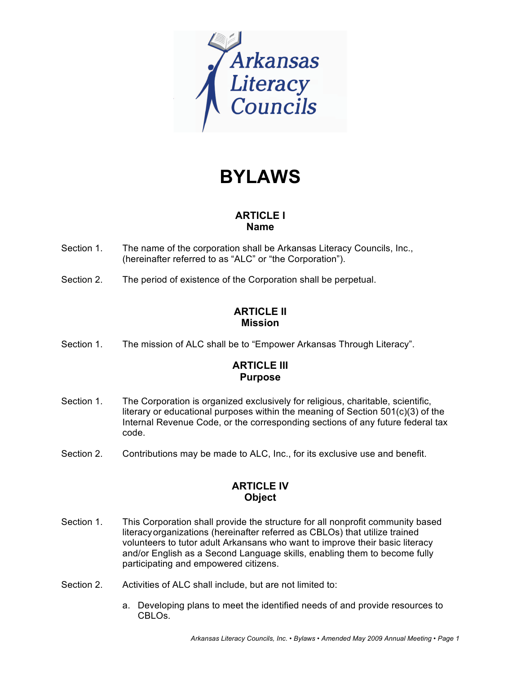

# **BYLAWS**

## **ARTICLE I Name**

- Section 1. The name of the corporation shall be Arkansas Literacy Councils, Inc., (hereinafter referred to as "ALC" or "the Corporation").
- Section 2. The period of existence of the Corporation shall be perpetual.

## **ARTICLE II Mission**

Section 1. The mission of ALC shall be to "Empower Arkansas Through Literacy".

## **ARTICLE III Purpose**

- Section 1. The Corporation is organized exclusively for religious, charitable, scientific, literary or educational purposes within the meaning of Section 501(c)(3) of the Internal Revenue Code, or the corresponding sections of any future federal tax code.
- Section 2. Contributions may be made to ALC, Inc., for its exclusive use and benefit.

## **ARTICLE IV Object**

- Section 1. This Corporation shall provide the structure for all nonprofit community based literacyorganizations (hereinafter referred as CBLOs) that utilize trained volunteers to tutor adult Arkansans who want to improve their basic literacy and/or English as a Second Language skills, enabling them to become fully participating and empowered citizens.
- Section 2. Activities of ALC shall include, but are not limited to:
	- a. Developing plans to meet the identified needs of and provide resources to CBLOs.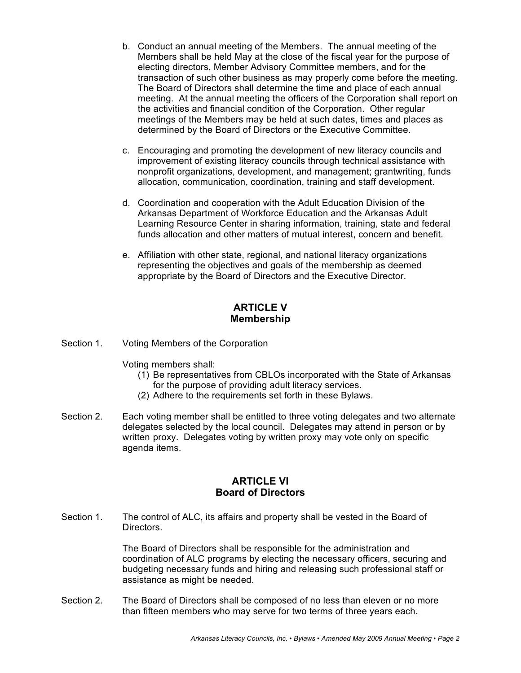- b. Conduct an annual meeting of the Members. The annual meeting of the Members shall be held May at the close of the fiscal year for the purpose of electing directors, Member Advisory Committee members, and for the transaction of such other business as may properly come before the meeting. The Board of Directors shall determine the time and place of each annual meeting. At the annual meeting the officers of the Corporation shall report on the activities and financial condition of the Corporation. Other regular meetings of the Members may be held at such dates, times and places as determined by the Board of Directors or the Executive Committee.
- c. Encouraging and promoting the development of new literacy councils and improvement of existing literacy councils through technical assistance with nonprofit organizations, development, and management; grantwriting, funds allocation, communication, coordination, training and staff development.
- d. Coordination and cooperation with the Adult Education Division of the Arkansas Department of Workforce Education and the Arkansas Adult Learning Resource Center in sharing information, training, state and federal funds allocation and other matters of mutual interest, concern and benefit.
- e. Affiliation with other state, regional, and national literacy organizations representing the objectives and goals of the membership as deemed appropriate by the Board of Directors and the Executive Director.

### **ARTICLE V Membership**

Section 1. Voting Members of the Corporation

Voting members shall:

- (1) Be representatives from CBLOs incorporated with the State of Arkansas for the purpose of providing adult literacy services.
- (2) Adhere to the requirements set forth in these Bylaws.
- Section 2. Each voting member shall be entitled to three voting delegates and two alternate delegates selected by the local council. Delegates may attend in person or by written proxy. Delegates voting by written proxy may vote only on specific agenda items.

#### **ARTICLE VI Board of Directors**

Section 1. The control of ALC, its affairs and property shall be vested in the Board of Directors.

> The Board of Directors shall be responsible for the administration and coordination of ALC programs by electing the necessary officers, securing and budgeting necessary funds and hiring and releasing such professional staff or assistance as might be needed.

Section 2. The Board of Directors shall be composed of no less than eleven or no more than fifteen members who may serve for two terms of three years each.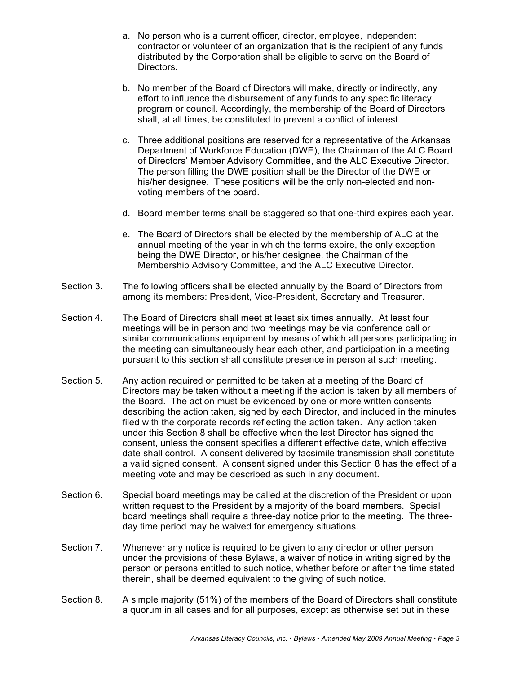- a. No person who is a current officer, director, employee, independent contractor or volunteer of an organization that is the recipient of any funds distributed by the Corporation shall be eligible to serve on the Board of Directors.
- b. No member of the Board of Directors will make, directly or indirectly, any effort to influence the disbursement of any funds to any specific literacy program or council. Accordingly, the membership of the Board of Directors shall, at all times, be constituted to prevent a conflict of interest.
- c. Three additional positions are reserved for a representative of the Arkansas Department of Workforce Education (DWE), the Chairman of the ALC Board of Directors' Member Advisory Committee, and the ALC Executive Director. The person filling the DWE position shall be the Director of the DWE or his/her designee. These positions will be the only non-elected and nonvoting members of the board.
- d. Board member terms shall be staggered so that one-third expires each year.
- e. The Board of Directors shall be elected by the membership of ALC at the annual meeting of the year in which the terms expire, the only exception being the DWE Director, or his/her designee, the Chairman of the Membership Advisory Committee, and the ALC Executive Director.
- Section 3. The following officers shall be elected annually by the Board of Directors from among its members: President, Vice-President, Secretary and Treasurer.
- Section 4. The Board of Directors shall meet at least six times annually. At least four meetings will be in person and two meetings may be via conference call or similar communications equipment by means of which all persons participating in the meeting can simultaneously hear each other, and participation in a meeting pursuant to this section shall constitute presence in person at such meeting.
- Section 5. Any action required or permitted to be taken at a meeting of the Board of Directors may be taken without a meeting if the action is taken by all members of the Board. The action must be evidenced by one or more written consents describing the action taken, signed by each Director, and included in the minutes filed with the corporate records reflecting the action taken. Any action taken under this Section 8 shall be effective when the last Director has signed the consent, unless the consent specifies a different effective date, which effective date shall control. A consent delivered by facsimile transmission shall constitute a valid signed consent. A consent signed under this Section 8 has the effect of a meeting vote and may be described as such in any document.
- Section 6. Special board meetings may be called at the discretion of the President or upon written request to the President by a majority of the board members. Special board meetings shall require a three-day notice prior to the meeting. The threeday time period may be waived for emergency situations.
- Section 7. Whenever any notice is required to be given to any director or other person under the provisions of these Bylaws, a waiver of notice in writing signed by the person or persons entitled to such notice, whether before or after the time stated therein, shall be deemed equivalent to the giving of such notice.
- Section 8. A simple majority (51%) of the members of the Board of Directors shall constitute a quorum in all cases and for all purposes, except as otherwise set out in these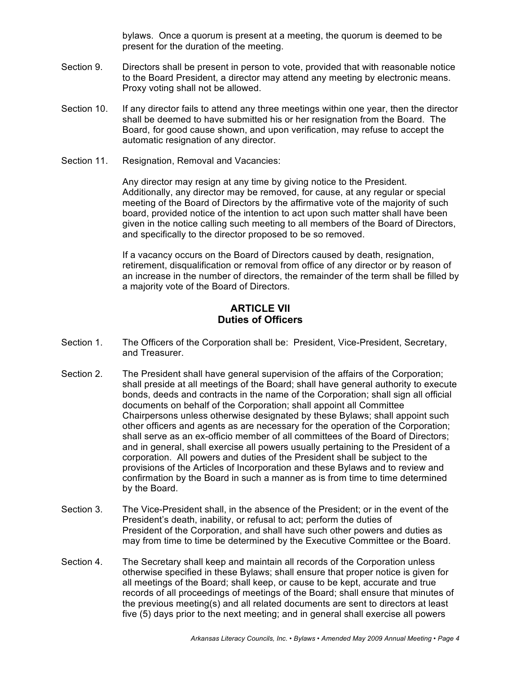bylaws. Once a quorum is present at a meeting, the quorum is deemed to be present for the duration of the meeting.

- Section 9. Directors shall be present in person to vote, provided that with reasonable notice to the Board President, a director may attend any meeting by electronic means. Proxy voting shall not be allowed.
- Section 10. If any director fails to attend any three meetings within one year, then the director shall be deemed to have submitted his or her resignation from the Board. The Board, for good cause shown, and upon verification, may refuse to accept the automatic resignation of any director.
- Section 11. Resignation, Removal and Vacancies:

Any director may resign at any time by giving notice to the President. Additionally, any director may be removed, for cause, at any regular or special meeting of the Board of Directors by the affirmative vote of the majority of such board, provided notice of the intention to act upon such matter shall have been given in the notice calling such meeting to all members of the Board of Directors, and specifically to the director proposed to be so removed.

If a vacancy occurs on the Board of Directors caused by death, resignation, retirement, disqualification or removal from office of any director or by reason of an increase in the number of directors, the remainder of the term shall be filled by a majority vote of the Board of Directors.

#### **ARTICLE VII Duties of Officers**

- Section 1. The Officers of the Corporation shall be: President, Vice-President, Secretary, and Treasurer.
- Section 2. The President shall have general supervision of the affairs of the Corporation; shall preside at all meetings of the Board; shall have general authority to execute bonds, deeds and contracts in the name of the Corporation; shall sign all official documents on behalf of the Corporation; shall appoint all Committee Chairpersons unless otherwise designated by these Bylaws; shall appoint such other officers and agents as are necessary for the operation of the Corporation; shall serve as an ex-officio member of all committees of the Board of Directors; and in general, shall exercise all powers usually pertaining to the President of a corporation. All powers and duties of the President shall be subject to the provisions of the Articles of Incorporation and these Bylaws and to review and confirmation by the Board in such a manner as is from time to time determined by the Board.
- Section 3. The Vice-President shall, in the absence of the President; or in the event of the President's death, inability, or refusal to act; perform the duties of President of the Corporation, and shall have such other powers and duties as may from time to time be determined by the Executive Committee or the Board.
- Section 4. The Secretary shall keep and maintain all records of the Corporation unless otherwise specified in these Bylaws; shall ensure that proper notice is given for all meetings of the Board; shall keep, or cause to be kept, accurate and true records of all proceedings of meetings of the Board; shall ensure that minutes of the previous meeting(s) and all related documents are sent to directors at least five (5) days prior to the next meeting; and in general shall exercise all powers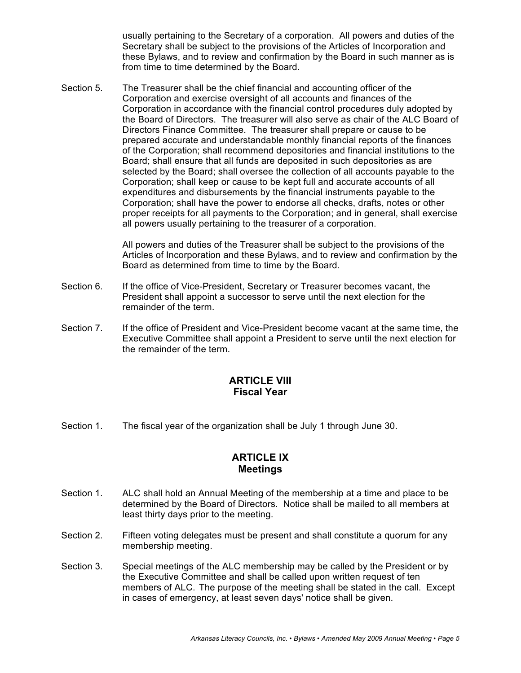usually pertaining to the Secretary of a corporation. All powers and duties of the Secretary shall be subject to the provisions of the Articles of Incorporation and these Bylaws, and to review and confirmation by the Board in such manner as is from time to time determined by the Board.

Section 5. The Treasurer shall be the chief financial and accounting officer of the Corporation and exercise oversight of all accounts and finances of the Corporation in accordance with the financial control procedures duly adopted by the Board of Directors. The treasurer will also serve as chair of the ALC Board of Directors Finance Committee. The treasurer shall prepare or cause to be prepared accurate and understandable monthly financial reports of the finances of the Corporation; shall recommend depositories and financial institutions to the Board; shall ensure that all funds are deposited in such depositories as are selected by the Board; shall oversee the collection of all accounts payable to the Corporation; shall keep or cause to be kept full and accurate accounts of all expenditures and disbursements by the financial instruments payable to the Corporation; shall have the power to endorse all checks, drafts, notes or other proper receipts for all payments to the Corporation; and in general, shall exercise all powers usually pertaining to the treasurer of a corporation.

> All powers and duties of the Treasurer shall be subject to the provisions of the Articles of Incorporation and these Bylaws, and to review and confirmation by the Board as determined from time to time by the Board.

- Section 6. If the office of Vice-President, Secretary or Treasurer becomes vacant, the President shall appoint a successor to serve until the next election for the remainder of the term.
- Section 7. If the office of President and Vice-President become vacant at the same time, the Executive Committee shall appoint a President to serve until the next election for the remainder of the term.

## **ARTICLE VIII Fiscal Year**

Section 1. The fiscal year of the organization shall be July 1 through June 30.

#### **ARTICLE IX Meetings**

- Section 1. ALC shall hold an Annual Meeting of the membership at a time and place to be determined by the Board of Directors. Notice shall be mailed to all members at least thirty days prior to the meeting.
- Section 2. Fifteen voting delegates must be present and shall constitute a quorum for any membership meeting.
- Section 3. Special meetings of the ALC membership may be called by the President or by the Executive Committee and shall be called upon written request of ten members of ALC. The purpose of the meeting shall be stated in the call. Except in cases of emergency, at least seven days' notice shall be given.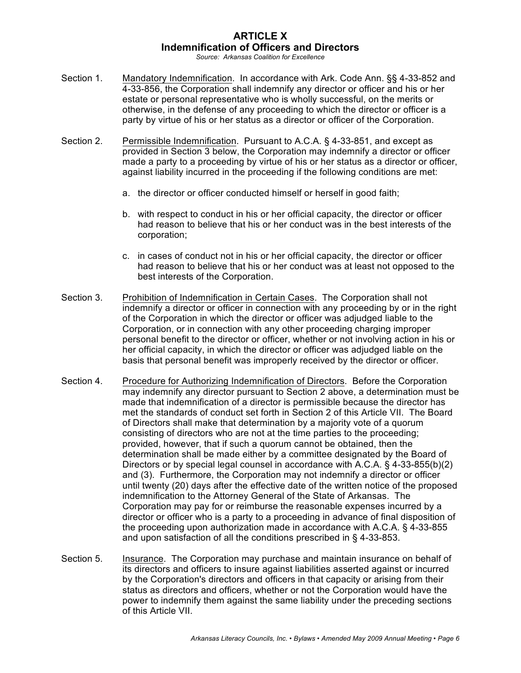## **ARTICLE X Indemnification of Officers and Directors**

*Source: Arkansas Coalition for Excellence*

- Section 1. Mandatory Indemnification. In accordance with Ark. Code Ann. §§ 4-33-852 and 4-33-856, the Corporation shall indemnify any director or officer and his or her estate or personal representative who is wholly successful, on the merits or otherwise, in the defense of any proceeding to which the director or officer is a party by virtue of his or her status as a director or officer of the Corporation.
- Section 2. Permissible Indemnification. Pursuant to A.C.A. § 4-33-851, and except as provided in Section 3 below, the Corporation may indemnify a director or officer made a party to a proceeding by virtue of his or her status as a director or officer, against liability incurred in the proceeding if the following conditions are met:
	- a. the director or officer conducted himself or herself in good faith;
	- b. with respect to conduct in his or her official capacity, the director or officer had reason to believe that his or her conduct was in the best interests of the corporation;
	- c. in cases of conduct not in his or her official capacity, the director or officer had reason to believe that his or her conduct was at least not opposed to the best interests of the Corporation.
- Section 3. Prohibition of Indemnification in Certain Cases. The Corporation shall not indemnify a director or officer in connection with any proceeding by or in the right of the Corporation in which the director or officer was adjudged liable to the Corporation, or in connection with any other proceeding charging improper personal benefit to the director or officer, whether or not involving action in his or her official capacity, in which the director or officer was adjudged liable on the basis that personal benefit was improperly received by the director or officer.
- Section 4. Procedure for Authorizing Indemnification of Directors. Before the Corporation may indemnify any director pursuant to Section 2 above, a determination must be made that indemnification of a director is permissible because the director has met the standards of conduct set forth in Section 2 of this Article VII. The Board of Directors shall make that determination by a majority vote of a quorum consisting of directors who are not at the time parties to the proceeding; provided, however, that if such a quorum cannot be obtained, then the determination shall be made either by a committee designated by the Board of Directors or by special legal counsel in accordance with A.C.A. § 4-33-855(b)(2) and (3). Furthermore, the Corporation may not indemnify a director or officer until twenty (20) days after the effective date of the written notice of the proposed indemnification to the Attorney General of the State of Arkansas. The Corporation may pay for or reimburse the reasonable expenses incurred by a director or officer who is a party to a proceeding in advance of final disposition of the proceeding upon authorization made in accordance with A.C.A. § 4-33-855 and upon satisfaction of all the conditions prescribed in § 4-33-853.
- Section 5. Insurance. The Corporation may purchase and maintain insurance on behalf of its directors and officers to insure against liabilities asserted against or incurred by the Corporation's directors and officers in that capacity or arising from their status as directors and officers, whether or not the Corporation would have the power to indemnify them against the same liability under the preceding sections of this Article VII.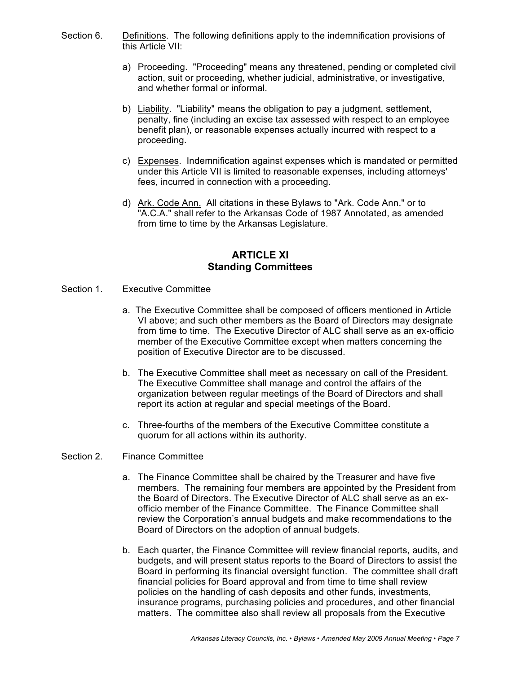- Section 6. Definitions. The following definitions apply to the indemnification provisions of this Article VII:
	- a) Proceeding. "Proceeding" means any threatened, pending or completed civil action, suit or proceeding, whether judicial, administrative, or investigative, and whether formal or informal.
	- b) Liability. "Liability" means the obligation to pay a judgment, settlement, penalty, fine (including an excise tax assessed with respect to an employee benefit plan), or reasonable expenses actually incurred with respect to a proceeding.
	- c) Expenses. Indemnification against expenses which is mandated or permitted under this Article VII is limited to reasonable expenses, including attorneys' fees, incurred in connection with a proceeding.
	- d) Ark. Code Ann. All citations in these Bylaws to "Ark. Code Ann." or to "A.C.A." shall refer to the Arkansas Code of 1987 Annotated, as amended from time to time by the Arkansas Legislature.

#### **ARTICLE XI Standing Committees**

- Section 1. Executive Committee
	- a. The Executive Committee shall be composed of officers mentioned in Article VI above; and such other members as the Board of Directors may designate from time to time. The Executive Director of ALC shall serve as an ex-officio member of the Executive Committee except when matters concerning the position of Executive Director are to be discussed.
	- b. The Executive Committee shall meet as necessary on call of the President. The Executive Committee shall manage and control the affairs of the organization between regular meetings of the Board of Directors and shall report its action at regular and special meetings of the Board.
	- c. Three-fourths of the members of the Executive Committee constitute a quorum for all actions within its authority.

#### Section 2. Finance Committee

- a. The Finance Committee shall be chaired by the Treasurer and have five members. The remaining four members are appointed by the President from the Board of Directors. The Executive Director of ALC shall serve as an exofficio member of the Finance Committee. The Finance Committee shall review the Corporation's annual budgets and make recommendations to the Board of Directors on the adoption of annual budgets.
- b. Each quarter, the Finance Committee will review financial reports, audits, and budgets, and will present status reports to the Board of Directors to assist the Board in performing its financial oversight function. The committee shall draft financial policies for Board approval and from time to time shall review policies on the handling of cash deposits and other funds, investments, insurance programs, purchasing policies and procedures, and other financial matters. The committee also shall review all proposals from the Executive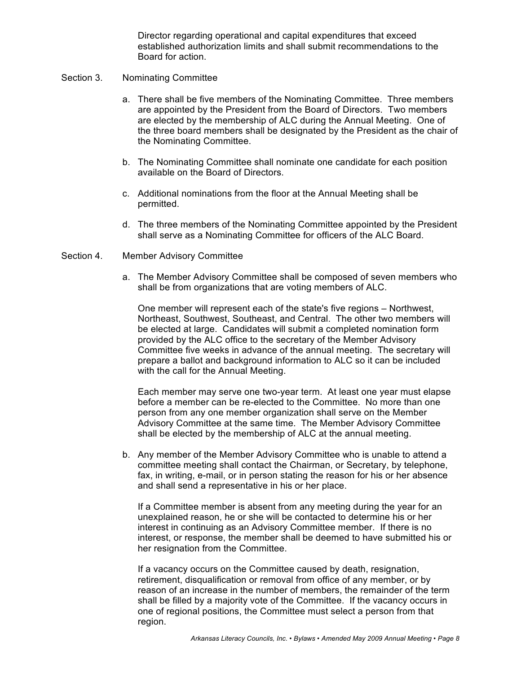Director regarding operational and capital expenditures that exceed established authorization limits and shall submit recommendations to the Board for action.

#### Section 3. Nominating Committee

- a. There shall be five members of the Nominating Committee. Three members are appointed by the President from the Board of Directors. Two members are elected by the membership of ALC during the Annual Meeting. One of the three board members shall be designated by the President as the chair of the Nominating Committee.
- b. The Nominating Committee shall nominate one candidate for each position available on the Board of Directors.
- c. Additional nominations from the floor at the Annual Meeting shall be permitted.
- d. The three members of the Nominating Committee appointed by the President shall serve as a Nominating Committee for officers of the ALC Board.
- Section 4. Member Advisory Committee
	- a. The Member Advisory Committee shall be composed of seven members who shall be from organizations that are voting members of ALC.

One member will represent each of the state's five regions – Northwest, Northeast, Southwest, Southeast, and Central. The other two members will be elected at large. Candidates will submit a completed nomination form provided by the ALC office to the secretary of the Member Advisory Committee five weeks in advance of the annual meeting. The secretary will prepare a ballot and background information to ALC so it can be included with the call for the Annual Meeting.

Each member may serve one two-year term. At least one year must elapse before a member can be re-elected to the Committee. No more than one person from any one member organization shall serve on the Member Advisory Committee at the same time. The Member Advisory Committee shall be elected by the membership of ALC at the annual meeting.

b. Any member of the Member Advisory Committee who is unable to attend a committee meeting shall contact the Chairman, or Secretary, by telephone, fax, in writing, e-mail, or in person stating the reason for his or her absence and shall send a representative in his or her place.

If a Committee member is absent from any meeting during the year for an unexplained reason, he or she will be contacted to determine his or her interest in continuing as an Advisory Committee member. If there is no interest, or response, the member shall be deemed to have submitted his or her resignation from the Committee.

If a vacancy occurs on the Committee caused by death, resignation, retirement, disqualification or removal from office of any member, or by reason of an increase in the number of members, the remainder of the term shall be filled by a majority vote of the Committee. If the vacancy occurs in one of regional positions, the Committee must select a person from that region.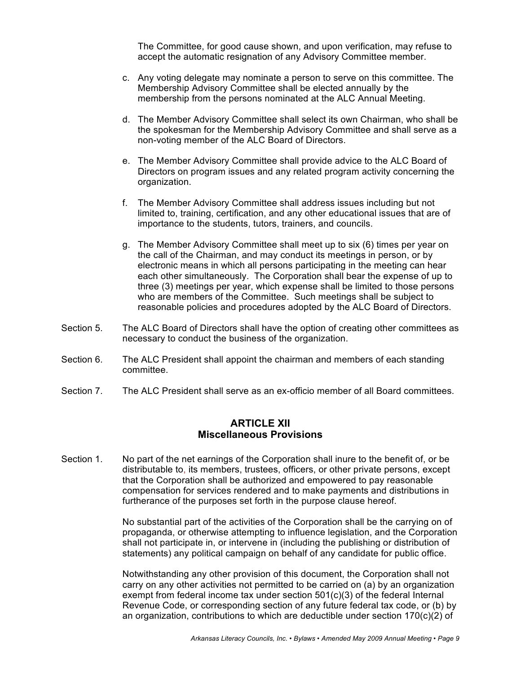The Committee, for good cause shown, and upon verification, may refuse to accept the automatic resignation of any Advisory Committee member.

- c. Any voting delegate may nominate a person to serve on this committee. The Membership Advisory Committee shall be elected annually by the membership from the persons nominated at the ALC Annual Meeting.
- d. The Member Advisory Committee shall select its own Chairman, who shall be the spokesman for the Membership Advisory Committee and shall serve as a non-voting member of the ALC Board of Directors.
- e. The Member Advisory Committee shall provide advice to the ALC Board of Directors on program issues and any related program activity concerning the organization.
- f. The Member Advisory Committee shall address issues including but not limited to, training, certification, and any other educational issues that are of importance to the students, tutors, trainers, and councils.
- g. The Member Advisory Committee shall meet up to six (6) times per year on the call of the Chairman, and may conduct its meetings in person, or by electronic means in which all persons participating in the meeting can hear each other simultaneously. The Corporation shall bear the expense of up to three (3) meetings per year, which expense shall be limited to those persons who are members of the Committee. Such meetings shall be subject to reasonable policies and procedures adopted by the ALC Board of Directors.
- Section 5. The ALC Board of Directors shall have the option of creating other committees as necessary to conduct the business of the organization.
- Section 6. The ALC President shall appoint the chairman and members of each standing committee.
- Section 7. The ALC President shall serve as an ex-officio member of all Board committees.

#### **ARTICLE XII Miscellaneous Provisions**

Section 1. No part of the net earnings of the Corporation shall inure to the benefit of, or be distributable to, its members, trustees, officers, or other private persons, except that the Corporation shall be authorized and empowered to pay reasonable compensation for services rendered and to make payments and distributions in furtherance of the purposes set forth in the purpose clause hereof.

> No substantial part of the activities of the Corporation shall be the carrying on of propaganda, or otherwise attempting to influence legislation, and the Corporation shall not participate in, or intervene in (including the publishing or distribution of statements) any political campaign on behalf of any candidate for public office.

> Notwithstanding any other provision of this document, the Corporation shall not carry on any other activities not permitted to be carried on (a) by an organization exempt from federal income tax under section  $501(c)(3)$  of the federal Internal Revenue Code, or corresponding section of any future federal tax code, or (b) by an organization, contributions to which are deductible under section 170(c)(2) of